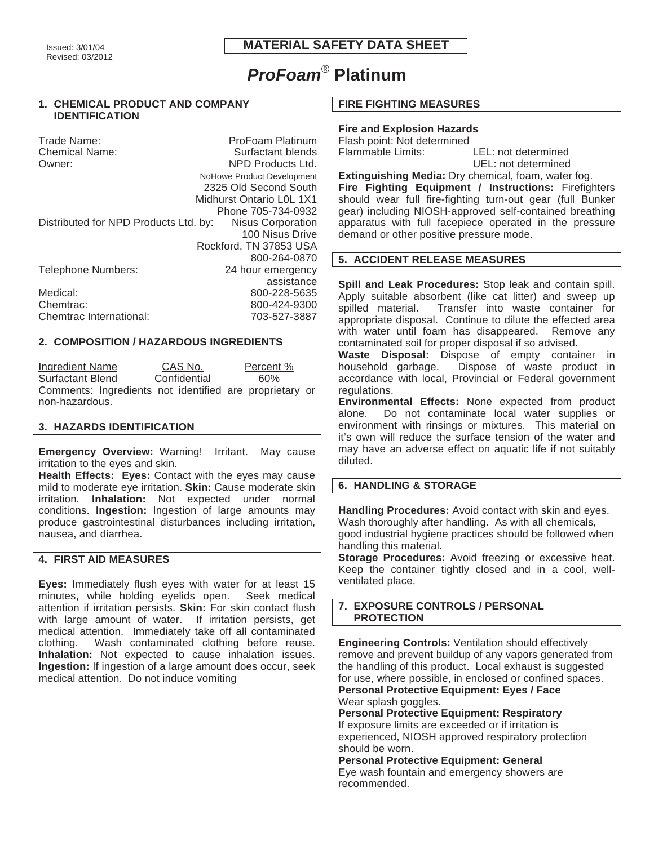# **MATERIAL SAFETY DATA SHEET**

# *ProFoam*® **Platinum**

#### **1. CHEMICAL PRODUCT AND COMPANY IDENTIFICATION**

| Trade Name:<br><b>Chemical Name:</b>  | ProFoam Platinum<br>Surfactant blends |
|---------------------------------------|---------------------------------------|
| Owner:                                | NPD Products Ltd.                     |
|                                       | NoHowe Product Development            |
|                                       | 2325 Old Second South                 |
|                                       | Midhurst Ontario L0L 1X1              |
|                                       | Phone 705-734-0932                    |
| Distributed for NPD Products Ltd. by: | Nisus Corporation                     |
|                                       | 100 Nisus Drive                       |
|                                       | Rockford, TN 37853 USA                |
|                                       | 800-264-0870                          |
| Telephone Numbers:                    | 24 hour emergency                     |
|                                       | assistance                            |
| Medical:                              | 800-228-5635                          |
| Chemtrac:                             | 800-424-9300                          |
| Chemtrac International:               | 703-527-3887                          |

# **2. COMPOSITION / HAZARDOUS INGREDIENTS**

Ingredient Name CAS No. Percent % Surfactant Blend Confidential 60% Comments: Ingredients not identified are proprietary or non-hazardous.

#### **3. HAZARDS IDENTIFICATION**

**Emergency Overview:** Warning! Irritant. May cause irritation to the eyes and skin.

**Health Effects: Eyes:** Contact with the eyes may cause mild to moderate eye irritation. **Skin:** Cause moderate skin irritation. **Inhalation:** Not expected under normal conditions. **Ingestion:** Ingestion of large amounts may produce gastrointestinal disturbances including irritation, nausea, and diarrhea.

#### **4. FIRST AID MEASURES**

**Eyes:** Immediately flush eyes with water for at least 15 minutes, while holding eyelids open. Seek medical attention if irritation persists. **Skin:** For skin contact flush with large amount of water. If irritation persists, get medical attention. Immediately take off all contaminated clothing. Wash contaminated clothing before reuse. **Inhalation:** Not expected to cause inhalation issues. **Ingestion:** If ingestion of a large amount does occur, seek medical attention. Do not induce vomiting

#### **FIRE FIGHTING MEASURES**

# **Fire and Explosion Hazards**

Flash point: Not determined Flammable Limits: LEL: not determined

UEL: not determined

**Extinguishing Media:** Dry chemical, foam, water fog. **Fire Fighting Equipment / Instructions:** Firefighters should wear full fire-fighting turn-out gear (full Bunker gear) including NIOSH-approved self-contained breathing apparatus with full facepiece operated in the pressure demand or other positive pressure mode.

## **5. ACCIDENT RELEASE MEASURES**

**Spill and Leak Procedures:** Stop leak and contain spill. Apply suitable absorbent (like cat litter) and sweep up spilled material. Transfer into waste container for appropriate disposal. Continue to dilute the effected area with water until foam has disappeared. Remove any contaminated soil for proper disposal if so advised.

**Waste Disposal:** Dispose of empty container in household garbage. Dispose of waste product in accordance with local, Provincial or Federal government regulations.

**Environmental Effects:** None expected from product alone. Do not contaminate local water supplies or environment with rinsings or mixtures. This material on it's own will reduce the surface tension of the water and may have an adverse effect on aquatic life if not suitably diluted.

# **6. HANDLING & STORAGE**

**Handling Procedures:** Avoid contact with skin and eyes. Wash thoroughly after handling. As with all chemicals, good industrial hygiene practices should be followed when handling this material.

**Storage Procedures:** Avoid freezing or excessive heat. Keep the container tightly closed and in a cool, wellventilated place.

# **7. EXPOSURE CONTROLS / PERSONAL PROTECTION**

**Engineering Controls:** Ventilation should effectively remove and prevent buildup of any vapors generated from the handling of this product. Local exhaust is suggested for use, where possible, in enclosed or confined spaces. **Personal Protective Equipment: Eyes / Face**

Wear splash goggles.

**Personal Protective Equipment: Respiratory** If exposure limits are exceeded or if irritation is experienced, NIOSH approved respiratory protection should be worn.

**Personal Protective Equipment: General** Eye wash fountain and emergency showers are recommended.